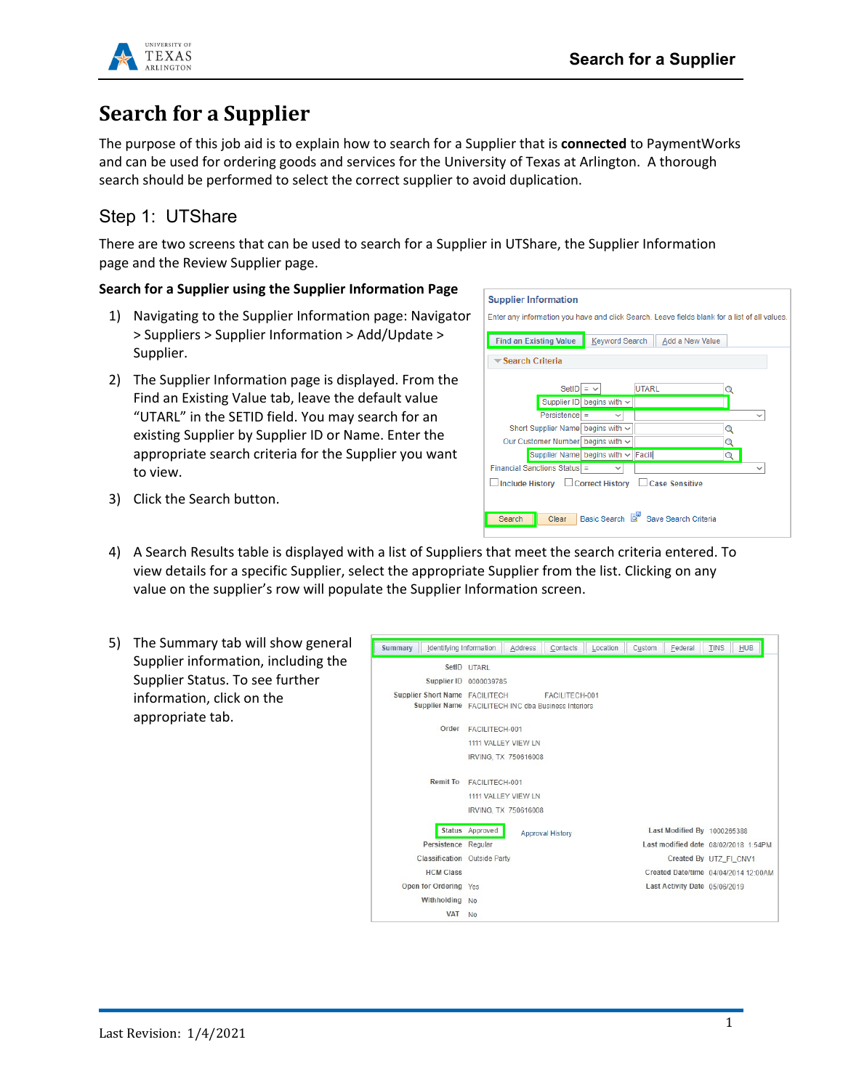

# **Search for a Supplier**

The purpose of this job aid is to explain how to search for a Supplier that is **connected** to PaymentWorks and can be used for ordering goods and services for the University of Texas at Arlington. A thorough search should be performed to select the correct supplier to avoid duplication.

## Step 1: UTShare

There are two screens that can be used to search for a Supplier in UTShare, the Supplier Information page and the Review Supplier page.

### **Search for a Supplier using the Supplier Information Page**

- 1) Navigating to the Supplier Information page: Navigator > Suppliers > Supplier Information > Add/Update > Supplier.
- 2) The Supplier Information page is displayed. From the Find an Existing Value tab, leave the default value "UTARL" in the SETID field. You may search for an existing Supplier by Supplier ID or Name. Enter the appropriate search criteria for the Supplier you want to view.

| <b>Supplier Information</b><br>Enter any information you have and click Search. Leave fields blank for a list of all values. |                                    |                                     |   |  |
|------------------------------------------------------------------------------------------------------------------------------|------------------------------------|-------------------------------------|---|--|
| <b>Find an Existing Value</b>                                                                                                | Keyword Search                     | Add a New Value                     |   |  |
| <b>▼Search Criteria</b>                                                                                                      |                                    |                                     |   |  |
| <b>SetID</b>                                                                                                                 | $=$ $\vee$                         | <b>UTARL</b>                        |   |  |
|                                                                                                                              | Supplier ID begins with $\sim$     |                                     |   |  |
| $Persistence$ =                                                                                                              | $\checkmark$                       |                                     |   |  |
| Short Supplier Name begins with $\sim$                                                                                       |                                    |                                     | Q |  |
| Our Customer Number begins with ~                                                                                            |                                    |                                     |   |  |
|                                                                                                                              | Supplier Name begins with v Facili |                                     |   |  |
| Financial Sanctions Status =                                                                                                 | $\checkmark$                       |                                     |   |  |
| Include History □ Correct History □ Case Sensitive                                                                           |                                    |                                     |   |  |
| Search<br>Clear                                                                                                              |                                    | Basic Search & Save Search Criteria |   |  |

- 3) Click the Search button.
- 4) A Search Results table is displayed with a list of Suppliers that meet the search criteria entered. To view details for a specific Supplier, select the appropriate Supplier from the list. Clicking on any value on the supplier's row will populate the Supplier Information screen.
- 5) The Summary tab will show general Supplier information, including the Supplier Status. To see further information, click on the appropriate tab.

| Summary<br>Identifying Information                                                    |                                                               | Address | Contacts                | Location | Custom | Federal                                                             | <b>TINS</b> | <b>HUB</b> |
|---------------------------------------------------------------------------------------|---------------------------------------------------------------|---------|-------------------------|----------|--------|---------------------------------------------------------------------|-------------|------------|
|                                                                                       | SetID UTARL<br>Supplier ID 0000039785                         |         |                         |          |        |                                                                     |             |            |
| Supplier Short Name FACILITECH<br>Supplier Name FACILITECH INC dba Business Interiors |                                                               |         | FACILITECH-001          |          |        |                                                                     |             |            |
| Order                                                                                 | FACILITECH-001<br>1111 VALLEY VIEW LN<br>IRVING. TX 750616008 |         |                         |          |        |                                                                     |             |            |
| <b>Remit To</b>                                                                       | FACILITECH-001<br>1111 VALLEY VIEW LN<br>IRVING, TX 750616008 |         |                         |          |        |                                                                     |             |            |
| Persistence Regular                                                                   | Status Approved                                               |         | <b>Approval History</b> |          |        | Last Modified By 1000265388<br>Last modified date 08/02/2018 1:54PM |             |            |
| Classification Outside Party                                                          |                                                               |         |                         |          |        | Created By UTZ FI CNV1                                              |             |            |
| <b>HCM Class</b>                                                                      |                                                               |         |                         |          |        | Created Date/time 04/04/2014 12:00AM                                |             |            |
| Open for Ordering Yes                                                                 |                                                               |         |                         |          |        | Last Activity Date 05/06/2019                                       |             |            |
| Withholding No                                                                        |                                                               |         |                         |          |        |                                                                     |             |            |
| <b>VAT</b>                                                                            | N <sub>0</sub>                                                |         |                         |          |        |                                                                     |             |            |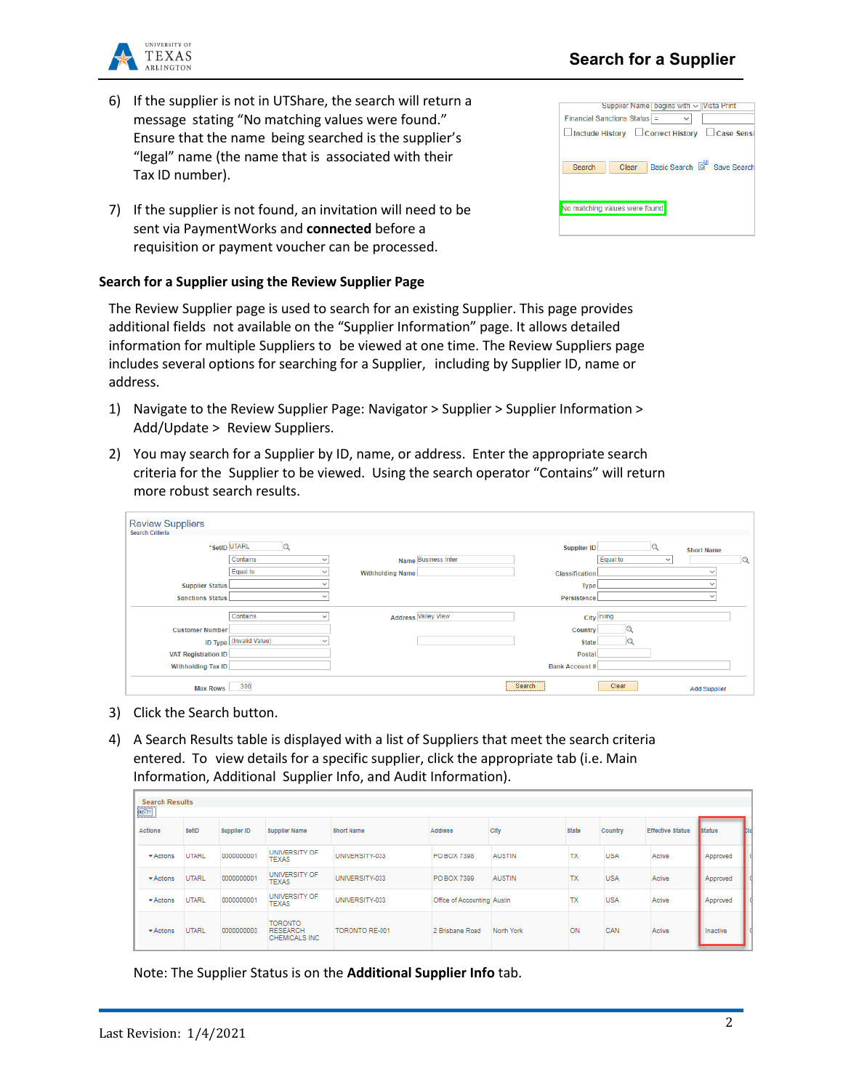Last Revision: 1/4/2021

2

# **Search for a Supplier**

- 6) If the supplier is not in UTShare, the search will return a message stating "No matching values were found." Ensure that the name being searched is the supplier's "legal" name (the name that is associated with their Tax ID number).
- 7) If the supplier is not found, an invitation will need to be sent via PaymentWorks and **connected** before a requisition or payment voucher can be processed.

#### **Search for a Supplier using the Review Supplier Page**

The Review Supplier page is used to search for an existing Supplier. This page provides additional fields not available on the "Supplier Information" page. It allows detailed information for multiple Suppliers to be viewed at one time. The Review Suppliers page includes several options for searching for a Supplier, including by Supplier ID, name or address.

- 1) Navigate to the Review Supplier Page: Navigator > Supplier > Supplier Information > Add/Update > Review Suppliers.
- 2) You may search for a Supplier by ID, name, or address. Enter the appropriate search criteria for the Supplier to be viewed. Using the search operator "Contains" will return more robust search results.

| <b>Review Suppliers</b>    |                                      |                         |                            |                       |             |                          |   |
|----------------------------|--------------------------------------|-------------------------|----------------------------|-----------------------|-------------|--------------------------|---|
| <b>Search Criteria</b>     |                                      |                         |                            |                       |             |                          |   |
|                            | *SetID UTARL                         |                         |                            | <b>Supplier ID</b>    |             | <b>Short Name</b>        |   |
|                            | Contains                             |                         | Name Business Inter        |                       | Equal to    | $\checkmark$             | Q |
|                            | Equal to                             | <b>Withholding Name</b> |                            | <b>Classification</b> |             |                          |   |
| <b>Supplier Status</b>     |                                      |                         |                            | <b>Type</b>           |             |                          |   |
| <b>Sanctions Status</b>    |                                      |                         |                            | Persistence           |             | $\overline{\phantom{a}}$ |   |
|                            | Contains<br>$\overline{\phantom{a}}$ |                         | <b>Address Valley View</b> |                       | City Irving |                          |   |
| <b>Customer Number</b>     |                                      |                         |                            | <b>Country</b>        |             |                          |   |
|                            | ID Type (Invalid Value)              |                         |                            | <b>State</b>          |             |                          |   |
| <b>VAT Registration ID</b> |                                      |                         |                            | <b>Postal</b>         |             |                          |   |
| <b>Withholding Tax ID</b>  |                                      |                         |                            | <b>Bank Account#</b>  |             |                          |   |
| <b>Max Rows</b>            | 300                                  |                         |                            | Search                | Clear       | <b>Add Supplier</b>      |   |

- 3) Click the Search button.
- 4) A Search Results table is displayed with a list of Suppliers that meet the search criteria entered. To view details for a specific supplier, click the appropriate tab (i.e. Main Information, Additional Supplier Info, and Audit Information).

| <b>Search Results</b><br>$\boxed{\text{min}}$ |              |             |                                                    |                   |                             |               |           |            |                         |               |   |
|-----------------------------------------------|--------------|-------------|----------------------------------------------------|-------------------|-----------------------------|---------------|-----------|------------|-------------------------|---------------|---|
| <b>Actions</b>                                | SetID        | Supplier ID | <b>Supplier Name</b>                               | <b>Short Name</b> | <b>Address</b>              | City          | State     | Country    | <b>Effective Status</b> | <b>Status</b> | Ŀ |
| $\blacktriangleright$ Actions                 | <b>UTARL</b> | 0000000001  | UNIVERSITY OF<br><b>TEXAS</b>                      | UNIVERSITY-033    | <b>PO BOX 7398</b>          | <b>AUSTIN</b> | <b>TX</b> | <b>USA</b> | Active                  | Approved      |   |
| - Actions                                     | <b>UTARL</b> | 0000000001  | UNIVERSITY OF<br><b>TEXAS</b>                      | UNIVERSITY-033    | PO BOX 7399                 | <b>AUSTIN</b> | <b>TX</b> | <b>USA</b> | Active                  | Approved      |   |
| - Actions                                     | <b>UTARL</b> | 0000000001  | UNIVERSITY OF<br><b>TEXAS</b>                      | UNIVERSITY-033    | Office of Accounting Austin |               | <b>TX</b> | <b>USA</b> | Active                  | Approved      |   |
| - Actions                                     | <b>UTARL</b> | 0000000003  | <b>TORONTO</b><br><b>RESEARCH</b><br>CHEMICALS INC | TORONTO RE-001    | 2 Brisbane Road             | North York    | ON        | CAN        | Active                  | Inactive      |   |

Note: The Supplier Status is on the **Additional Supplier Info** tab.



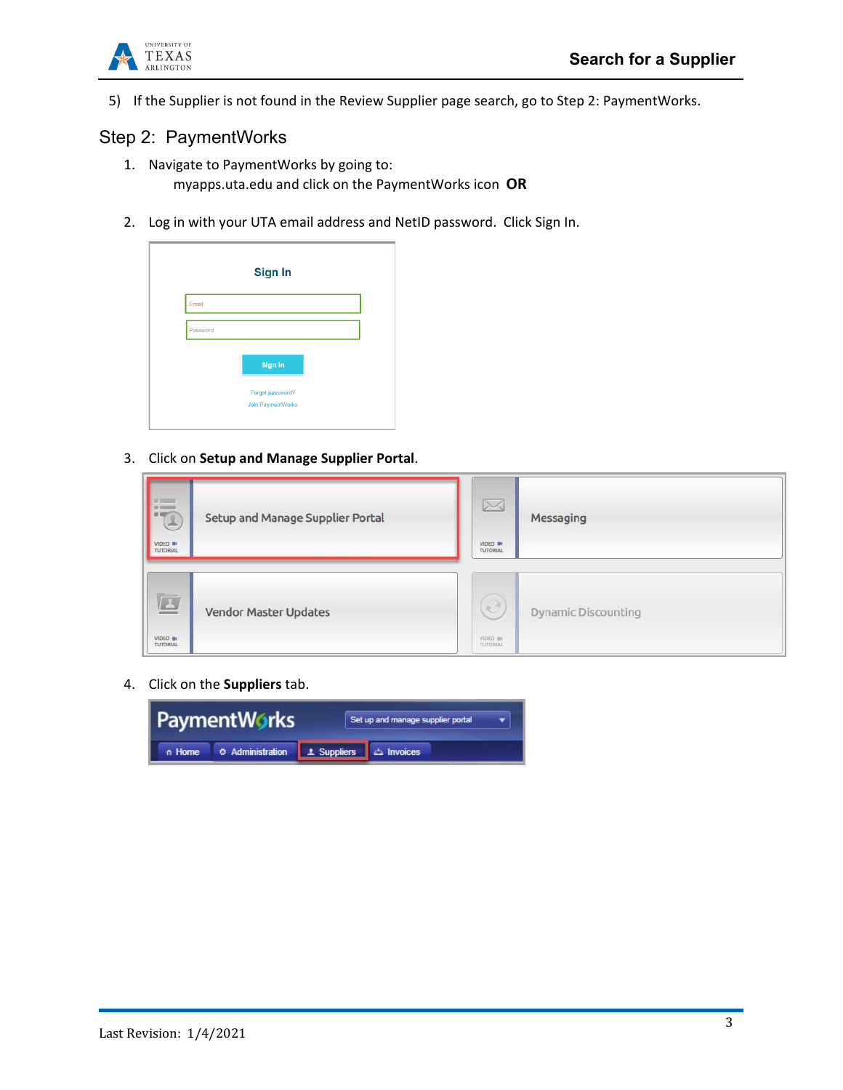

5) If the Supplier is not found in the Review Supplier page search, go to Step 2: PaymentWorks.

### Step 2: PaymentWorks

- 1. Navigate to PaymentWorks by going to: myapps.uta.edu and click on the PaymentWorks icon **OR**
- 2. Log in with your UTA email address and NetID password. Click Sign In.



3. Click on **Setup and Manage Supplier Portal**.

| <b>I</b> is<br>L<br>VIDEO O                  | Setup and Manage Supplier Portal | $\boxtimes$<br>VIDEO ON<br>TUTORIAL | Messaging                  |
|----------------------------------------------|----------------------------------|-------------------------------------|----------------------------|
| $\Box$<br><b>VIDEO BI</b><br><b>TUTORIAL</b> | <b>Vendor Master Updates</b>     | e<br>VIDEO DE<br><b>TUTORIAL</b>    | <b>Dynamic Discounting</b> |

4. Click on the **Suppliers** tab.

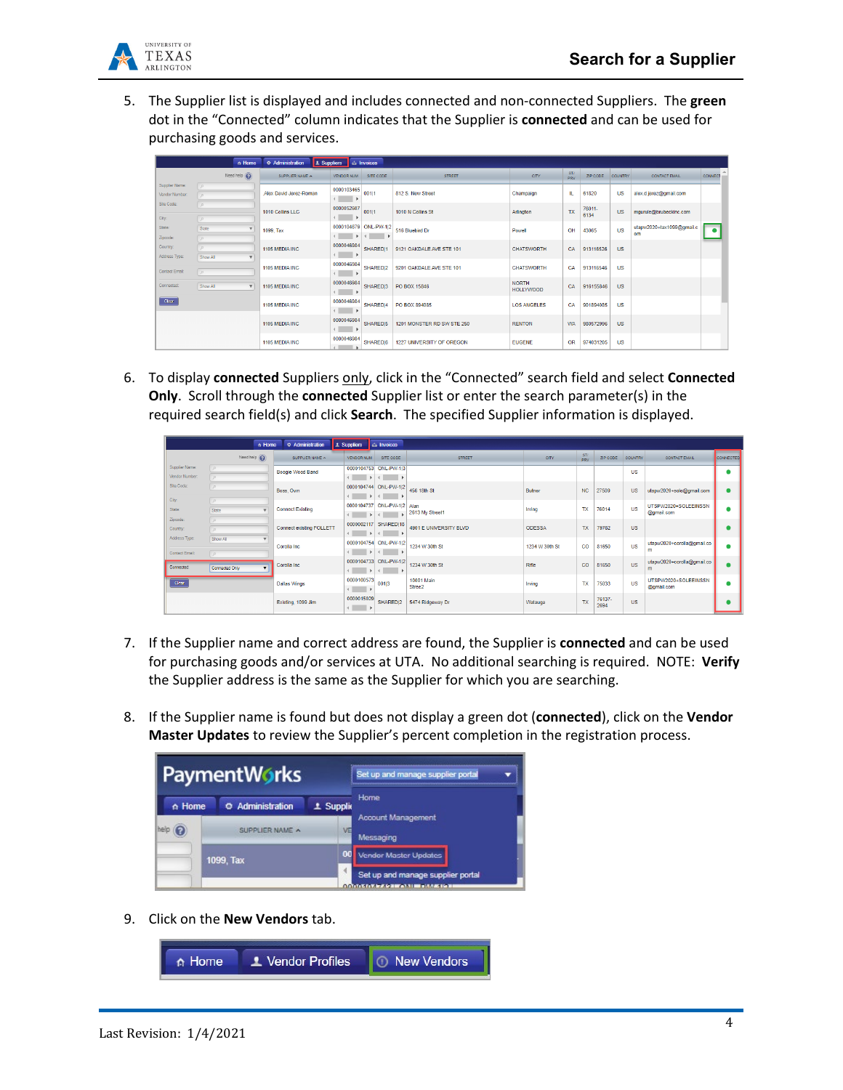

5. The Supplier list is displayed and includes connected and non-connected Suppliers. The **green** dot in the "Connected" column indicates that the Supplier is **connected** and can be used for purchasing goods and services.

|                                 | $A$ Home                          | C Administration<br>1 Suppliers | $\Delta$ Invoices                                                |                            |                                  |            |                |           |                                 |                                     |
|---------------------------------|-----------------------------------|---------------------------------|------------------------------------------------------------------|----------------------------|----------------------------------|------------|----------------|-----------|---------------------------------|-------------------------------------|
|                                 | Need help $\left(\bigodot\right)$ | SUPPLIER NAME A                 | SITE CODE<br><b>VENDOR NUM</b>                                   | <b>STREET</b>              | <b>CITY</b>                      | ST/<br>PRV | ZIP CODE       | COUNTRY   | <b>CONTACT EMAIL</b>            | $\Delta_{\rm{L}}$<br><b>CONNECT</b> |
| Supplier Name:<br>Vendor Number |                                   | Alex David Jerez-Roman          | 0000103465<br>00111                                              | 812 S. New Street          | Champaign                        | IL.        | 61820          | <b>US</b> | alex.d.jerez@gmail.com          |                                     |
| Site Code:<br>City:             | $\circ$                           | 1010 Collins LLC                | 0000052607<br>00111<br>. .                                       | 1010 N Collins St          | Arlington                        | <b>TX</b>  | 76011-<br>6134 | <b>US</b> | mgurule@brubeckinc.com          |                                     |
| State:<br>Zipoode:              | State                             | 1099, Tax                       | 0000104679 ONL-PW-1l2<br>$\rightarrow$<br>$\left  \cdot \right $ | 516 Bluebird Dr            | Powell                           | OH         | 43065          | <b>US</b> | utapw2020+tax1099@gmail.c<br>om | $\bullet$                           |
| Country:<br>Address Type:       | Show All                          | 1105 MEDIA INC                  | 0000046984<br>SHAREDI1<br>$\leftarrow$ $\rightarrow$             | 9121 OAKDALE AVE STE 101   | <b>CHATSWORTH</b>                | CA         | 913116526      | <b>US</b> |                                 |                                     |
| <b>Contact Email:</b>           |                                   | 1105 MEDIA INC                  | 0000046984<br>SHAREDI2<br>$\mathbf{A}$ and $\mathbf{A}$          | 9201 OAKDALE AVE STE 101   | <b>CHATSWORTH</b>                | CA         | 913116546      | <b>US</b> |                                 |                                     |
| Connected:                      | Show All<br>$\mathbf{v}$          | 1105 MEDIA INC                  | 0000046984<br>SHARED <sub>13</sub><br>$\leftarrow$ $\rightarrow$ | PO BOX 15846               | <b>NORTH</b><br><b>HOLLYWOOD</b> | CA         | 916155846      | <b>US</b> |                                 |                                     |
| Cear                            |                                   | 1105 MEDIA INC                  | 0000046984<br>SHARED 4<br>$\mathcal{A}$ and $\mathcal{A}$        | PO BOX 894085              | <b>LOS ANGELES</b>               | CA         | 901894085      | <b>US</b> |                                 |                                     |
|                                 |                                   | 1105 MEDIA INC                  | 0000046984<br>SHARED 5<br>$\sim$                                 | 1201 MONSTER RD SW STE 250 | <b>RENTON</b>                    | <b>WA</b>  | 980572996      | <b>US</b> |                                 |                                     |
|                                 |                                   | 1105 MEDIA INC                  | 0000046984<br>SHAREDI6<br>$\lambda$                              | 1227 UNIVERSITY OF OREGON  | <b>EUGENE</b>                    | <b>OR</b>  | 974031205      | <b>US</b> |                                 |                                     |

6. To display **connected** Suppliers only, click in the "Connected" search field and select **Connected Only**. Scroll through the **connected** Supplier list or enter the search parameter(s) in the required search field(s) and click **Search**. The specified Supplier information is displayed.

|                                 | ∩ Home                                        | O Administration                | 1 Suppliers                               | <b>Ca</b> Invoices                 |                        |                |                   |                |           |                                    |           |
|---------------------------------|-----------------------------------------------|---------------------------------|-------------------------------------------|------------------------------------|------------------------|----------------|-------------------|----------------|-----------|------------------------------------|-----------|
|                                 | Need help $\left(\widehat{\mathbf{Q}}\right)$ | SUPPLIER NAME A                 | <b>VENDOR NUM</b>                         | SITE CODE                          | <b>STREET</b>          | CITY.          | ST/<br><b>DOV</b> | ZIP CODE       | COUNTRY   | <b>CONTACT EMAIL</b>               | CONNECTED |
| Supplier Name:                  |                                               | Boogie Wood Band                |                                           | 0000104753 ONL-PW-1 3              |                        |                |                   |                | <b>US</b> |                                    |           |
| Vendor Number:                  |                                               |                                 | $\overline{4}$<br>$\rightarrow$           | $\left  \cdot \right $             |                        |                |                   |                |           |                                    |           |
| Site Code:                      |                                               | Boss, Own                       |                                           | 0000104744 ONL-PW-1 2              | 456 18th St            | Butner         | <b>NC</b>         | 27509          | <b>US</b> | utapw2020+sole@gmail.com           |           |
| City:                           |                                               |                                 |                                           |                                    |                        |                |                   |                |           |                                    |           |
| State:                          | State                                         | <b>Connect Existing</b>         | $\leftarrow$                              | 0000104737 ONL-PW-1 2 Alan<br>$-4$ | 2613 My Street1        | Irving         | <b>TX</b>         | 76014          | <b>US</b> | UTSPW2020+SOLEEINSSN<br>@gmail.com |           |
| Zipcode:                        |                                               |                                 |                                           |                                    |                        |                |                   |                |           |                                    |           |
| Country:                        |                                               | <b>Connect existing FOLLETT</b> | $\leftarrow$                              | 0000002117 SHARED 18               | 4901 E UNIVERSITY BLVD | <b>ODESSA</b>  | <b>TX</b>         | 79762          | <b>US</b> |                                    |           |
| Address Type:<br>Contact Email: | Show All                                      | Corolla Inc                     | $\leftarrow$                              | 0000104754 ONL-PW-1 2              | 1234 W 30th St         | 1234 W 30th St | $\mathbf{CO}$     | 81650          | <b>US</b> | utapw2020+corolla@gmail.co<br>m    |           |
| Connected:                      | Connected Only                                | Corolla Inc                     | 4                                         | 0000104733 ONL-PW-1 2              | 1234 W 30th St         | Rifle          | CO                | 81650          | <b>US</b> | utapw2020+corolla@gmail.co<br>m    |           |
| Clear                           |                                               | <b>Dallas Wings</b>             | 0000100573<br>$\left\vert 1\right\rangle$ | 00113                              | 10001 Main<br>Stree2   | Irving         | <b>TX</b>         | 75033          | <b>US</b> | UTSPW2020+SOLEEINSSN<br>@gmail.com |           |
|                                 |                                               | Existing, 1099 Jim              | 0000015029<br>$\leftarrow$ $\rightarrow$  | SHARED 2                           | 5474 Ridgeway Dr       | Watauga        | <b>TX</b>         | 76137-<br>2694 | <b>US</b> |                                    |           |

- 7. If the Supplier name and correct address are found, the Supplier is **connected** and can be used for purchasing goods and/or services at UTA. No additional searching is required. NOTE: **Verify** the Supplier address is the same as the Supplier for which you are searching.
- 8. If the Supplier name is found but does not display a green dot (**connected**), click on the **Vendor Master Updates** to review the Supplier's percent completion in the registration process.



9. Click on the **New Vendors** tab.

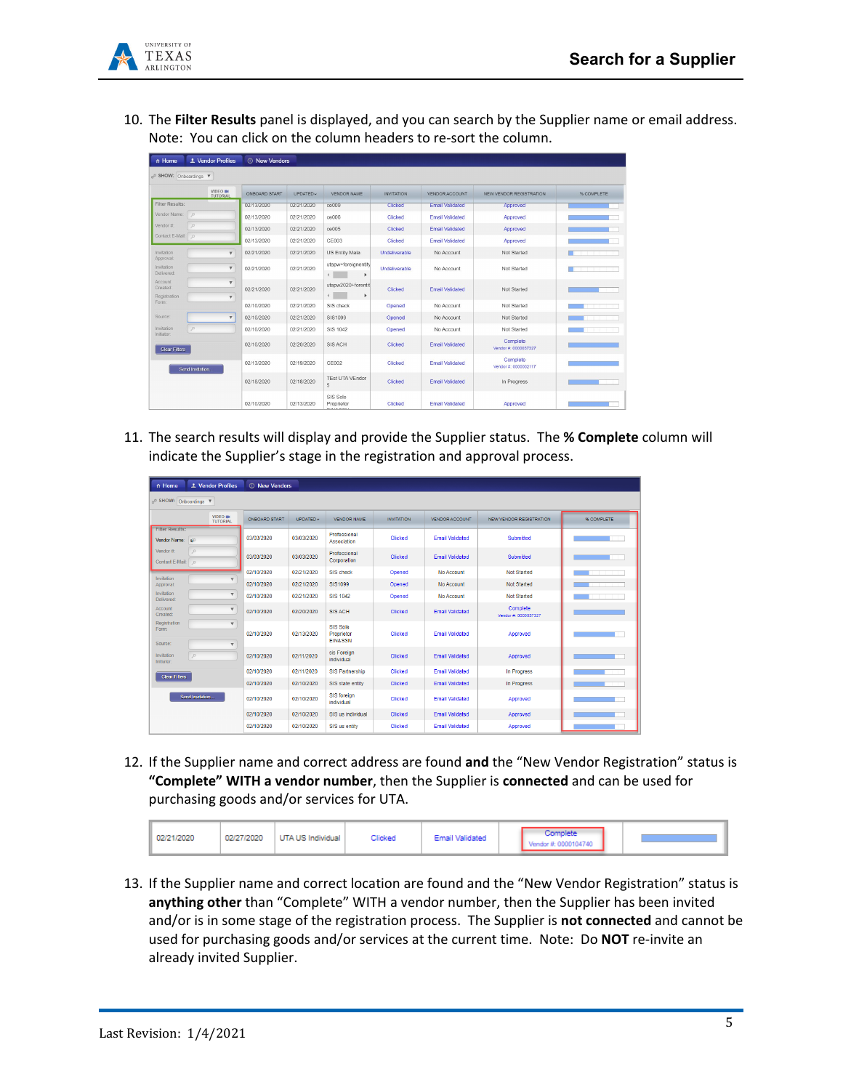

10. The **Filter Results** panel is displayed, and you can search by the Supplier name or email address. Note: You can click on the column headers to re-sort the column.

| n Home                                |                  | 1 Vendor Profiles                       | <b>C</b> New Vendors |            |                                          |                   |                        |                                  |            |
|---------------------------------------|------------------|-----------------------------------------|----------------------|------------|------------------------------------------|-------------------|------------------------|----------------------------------|------------|
| o <sup>o</sup> SHOW: Onboardings V    |                  |                                         |                      |            |                                          |                   |                        |                                  |            |
|                                       |                  | VIDEO IN<br><b>TUTORIAL</b>             | ONBOARD START        | UPDATED-   | VENDOR NAME                              | <b>INVITATION</b> | VENDOR ACCOUNT         | NEW VENDOR REGISTRATION          | % COMPLETE |
| Filter Results:                       |                  |                                         | 02/13/2020           | 02/21/2020 | ce009                                    | Clicked           | <b>Email Validated</b> | Approved                         |            |
| Vendor Name:                          | $\mathcal{L}$    |                                         | 02/13/2020           | 02/21/2020 | ce006                                    | Clicked           | <b>Email Validated</b> | Approved                         |            |
| Vendor #:                             | $\mathcal{L}$    |                                         | 02/13/2020           | 02/21/2020 | ce005                                    | Clicked           | <b>Email Validated</b> | Approved                         |            |
| Contact E-Mail: 0                     |                  |                                         | 02/13/2020           | 02/21/2020 | CE003                                    | Clicked           | <b>Email Validated</b> | Approved                         |            |
| Invitation                            |                  | $\mathbf{v}$                            | 02/21/2020           | 02/21/2020 | <b>US Entity Mala</b>                    | Undeliverable     | No Account             | Not Started                      |            |
| Approval:<br>Invitation<br>Delivered: |                  | $\overline{\mathbf{v}}$                 | 02/21/2020           | 02/21/2020 | utapw+foreignentity<br>$\leftarrow$<br>r | Undeliverable     | No Account             | Not Started                      |            |
| Account<br>Created:<br>Registration   |                  | $\overline{\mathbf{v}}$<br>$\mathbf{v}$ | 02/21/2020           | 02/21/2020 | utapw2020+forentit<br>$\leftarrow$<br>٠  | Clicked           | <b>Email Validated</b> | Not Started                      |            |
| Form:                                 |                  |                                         | 02/10/2020           | 02/21/2020 | SIS check                                | Opened            | No Account             | Not Started                      |            |
| Source:                               |                  | $\overline{\mathbf{v}}$                 | 02/10/2020           | 02/21/2020 | SIS1099                                  | Opened            | No Account             | Not Started                      |            |
| Invitation<br>Initiator:              | o                |                                         | 02/10/2020           | 02/21/2020 | SIS 1042                                 | Opened            | No Account             | Not Started                      |            |
| Clear Filters                         |                  |                                         | 02/10/2020           | 02/20/2020 | SIS ACH                                  | Clicked           | <b>Email Validated</b> | Complete<br>Vendor #: 0000037327 |            |
|                                       | Send Invitation. |                                         | 02/13/2020           | 02/19/2020 | CE002                                    | Clicked           | <b>Email Validated</b> | Complete<br>Vendor #: 0000002117 |            |
|                                       |                  |                                         | 02/18/2020           | 02/18/2020 | <b>TEst UTA VEndor</b><br>5              | Clicked           | <b>Email Validated</b> | In Progress                      |            |
|                                       |                  |                                         | 02/10/2020           | 02/13/2020 | SIS Sole<br>Proprietor                   | Clicked           | <b>Email Validated</b> | Approved                         |            |

11. The search results will display and provide the Supplier status. The **% Complete** column will indicate the Supplier's stage in the registration and approval process.

| ∩ Home                                       | 1 Vendor Profiles                                  | <b>C</b> New Vendors |            |                                              |                   |                        |                                  |            |
|----------------------------------------------|----------------------------------------------------|----------------------|------------|----------------------------------------------|-------------------|------------------------|----------------------------------|------------|
| o <sup>o</sup> SHOW: Onboardings ▼           |                                                    |                      |            |                                              |                   |                        |                                  |            |
|                                              | <b>VIDEO</b> IN<br><b>TUTORIAL</b>                 | ONBOARD START        | UPDATED ~  | <b>VENDOR NAME</b>                           | <b>INVITATION</b> | <b>VENDOR ACCOUNT</b>  | <b>NEW VENDOR REGISTRATION</b>   | % COMPLETE |
| <b>Filter Results:</b><br>Vendor Name:<br>si |                                                    | 03/03/2020           | 03/03/2020 | Professional<br>Association                  | Clicked           | <b>Email Validated</b> | Submitted                        |            |
| $\circ$<br>Vendor#<br>Contact E-Mail: 0      |                                                    | 03/03/2020           | 03/03/2020 | Professional<br>Corporation                  | Clicked           | <b>Email Validated</b> | Submitted                        |            |
|                                              |                                                    | 02/10/2020           | 02/21/2020 | SIS check                                    | Opened            | No Account             | <b>Not Started</b>               |            |
| Invitation<br>Approval:                      | $\overline{\mathbf{v}}$                            | 02/10/2020           | 02/21/2020 | SIS1099                                      | Opened            | No Account             | Not Started                      |            |
| Invitation<br>Delivered:                     | $\overline{\mathbf{v}}$                            | 02/10/2020           | 02/21/2020 | <b>SIS 1042</b>                              | Opened            | No Account             | Not Started                      |            |
| Account<br>Created:                          | $\overline{\mathbf{v}}$                            | 02/10/2020           | 02/20/2020 | <b>SIS ACH</b>                               | Clicked           | <b>Email Validated</b> | Complete<br>Vendor #: 0000037327 |            |
| Registration<br>Form:<br>Source:             | $\overline{\mathbf{v}}$<br>$\overline{\mathbf{v}}$ | 02/10/2020           | 02/13/2020 | SIS Sole<br>Proprietor<br><b>EIN&amp;SSN</b> | Clicked           | <b>Fmail Validated</b> | Approved                         |            |
| $\mathfrak{O}$<br>Invitation<br>Initiator:   |                                                    | 02/10/2020           | 02/11/2020 | sis Foreign<br>individual                    | Clicked           | <b>Fmail Validated</b> | Approved                         |            |
| <b>Clear Filters</b>                         |                                                    | 02/10/2020           | 02/11/2020 | <b>SIS Partnership</b>                       | Clicked           | <b>Email Validated</b> | In Progress                      |            |
|                                              |                                                    | 02/10/2020           | 02/10/2020 | SIS state entity                             | Clicked           | <b>Email Validated</b> | In Progress                      |            |
| Send Invitation.                             |                                                    | 02/10/2020           | 02/10/2020 | SIS foreign<br>individual                    | Clicked           | <b>Email Validated</b> | Approved                         |            |
|                                              |                                                    | 02/10/2020           | 02/10/2020 | SIS us individual                            | Clicked           | <b>Email Validated</b> | Approved                         |            |
|                                              |                                                    | 02/10/2020           | 02/10/2020 | SIS us entity                                | Clicked           | <b>Email Validated</b> | Approved                         |            |

12. If the Supplier name and correct address are found **and** the "New Vendor Registration" status is **"Complete" WITH a vendor number**, then the Supplier is **connected** and can be used for purchasing goods and/or services for UTA.

| 02/21/2020 | 02/27/2020 | UTA US Individual | Clicked | Email Validated |  | <b>Complete</b><br>/endor #: 0000104740 |  |  |
|------------|------------|-------------------|---------|-----------------|--|-----------------------------------------|--|--|
|------------|------------|-------------------|---------|-----------------|--|-----------------------------------------|--|--|

13. If the Supplier name and correct location are found and the "New Vendor Registration" status is **anything other** than "Complete" WITH a vendor number, then the Supplier has been invited and/or is in some stage of the registration process. The Supplier is **not connected** and cannot be used for purchasing goods and/or services at the current time. Note: Do **NOT** re-invite an already invited Supplier.